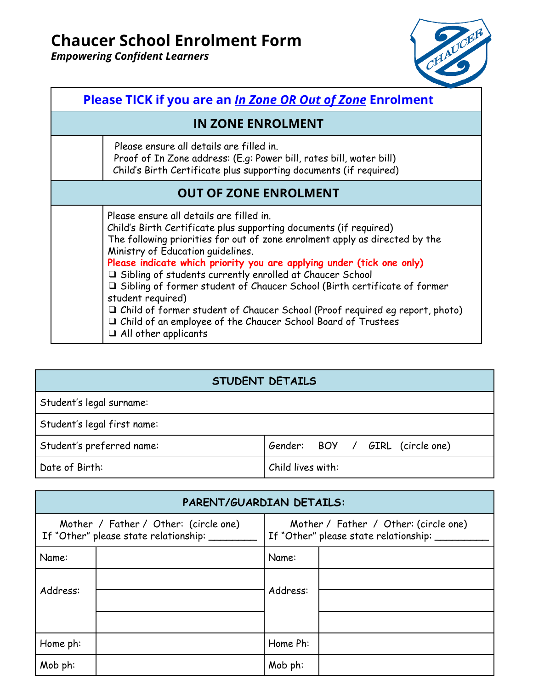*Empowering Confident Learners*



| <b>Please TICK if you are an In Zone OR Out of Zone Enrolment</b>                                                                                                                                                                                                                                                                                                                                                                                                                                                                                                                                                                                                  |  |  |
|--------------------------------------------------------------------------------------------------------------------------------------------------------------------------------------------------------------------------------------------------------------------------------------------------------------------------------------------------------------------------------------------------------------------------------------------------------------------------------------------------------------------------------------------------------------------------------------------------------------------------------------------------------------------|--|--|
| <b>IN ZONE ENROLMENT</b>                                                                                                                                                                                                                                                                                                                                                                                                                                                                                                                                                                                                                                           |  |  |
| Please ensure all details are filled in.<br>Proof of In Zone address: (E.g: Power bill, rates bill, water bill)<br>Child's Birth Certificate plus supporting documents (if required)                                                                                                                                                                                                                                                                                                                                                                                                                                                                               |  |  |
| <b>OUT OF ZONE ENROLMENT</b>                                                                                                                                                                                                                                                                                                                                                                                                                                                                                                                                                                                                                                       |  |  |
| Please ensure all details are filled in.<br>Child's Birth Certificate plus supporting documents (if required)<br>The following priorities for out of zone enrolment apply as directed by the<br>Ministry of Education guidelines.<br>Please indicate which priority you are applying under (tick one only)<br>I Sibling of students currently enrolled at Chaucer School<br>□ Sibling of former student of Chaucer School (Birth certificate of former<br>student required)<br>$\Box$ Child of former student of Chaucer School (Proof required eg report, photo)<br>I Child of an employee of the Chaucer School Board of Trustees<br>$\Box$ All other applicants |  |  |

# **STUDENT DETAILS**

| Student's legal surname: |
|--------------------------|
|--------------------------|

Student's legal first name:

| Student's preferred na |  |
|------------------------|--|
|                        |  |

 $S$  and  $\begin{bmatrix} Gend{bmatrix}$  Gender: BOY / GIRL (circle one)

Date of Birth: Child lives with:

| PARENT/GUARDIAN DETAILS:                                                           |  |                                                                                |  |
|------------------------------------------------------------------------------------|--|--------------------------------------------------------------------------------|--|
| Mother / Father / Other: (circle one)<br>If "Other" please state relationship: ___ |  | Mother / Father / Other: (circle one)<br>If "Other" please state relationship: |  |
| Name:                                                                              |  | Name:                                                                          |  |
| Address:                                                                           |  | Address:                                                                       |  |
| Home ph:                                                                           |  | Home Ph:                                                                       |  |
| Mob ph:                                                                            |  | Mob ph:                                                                        |  |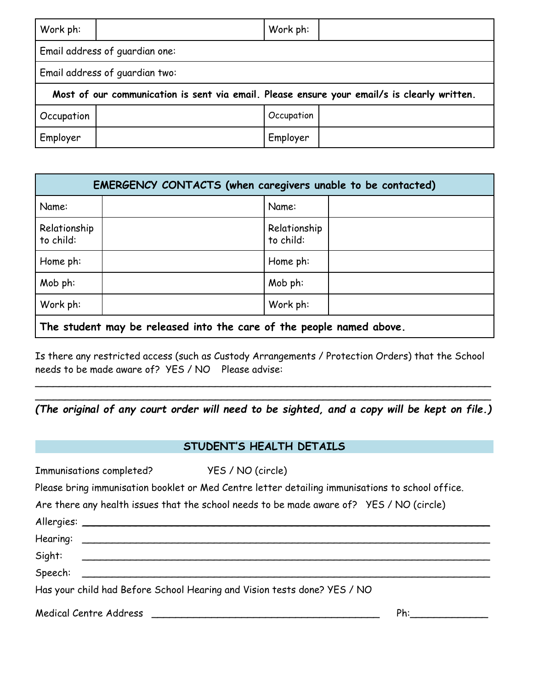| Work ph:                                                                                    |                                | Work ph:   |  |
|---------------------------------------------------------------------------------------------|--------------------------------|------------|--|
| Email address of guardian one:                                                              |                                |            |  |
|                                                                                             | Email address of guardian two: |            |  |
| Most of our communication is sent via email. Please ensure your email/s is clearly written. |                                |            |  |
| Occupation                                                                                  |                                | Occupation |  |
| Employer                                                                                    |                                | Employer   |  |

| EMERGENCY CONTACTS (when caregivers unable to be contacted) |  |                           |  |
|-------------------------------------------------------------|--|---------------------------|--|
| Name:                                                       |  | Name:                     |  |
| Relationship<br>to child:                                   |  | Relationship<br>to child: |  |
| Home ph:                                                    |  | Home ph:                  |  |
| Mob ph:                                                     |  | Mob ph:                   |  |
| Work ph:                                                    |  | Work ph:                  |  |

**The student may be released into the care of the people named above.**

Is there any restricted access (such as Custody Arrangements / Protection Orders) that the School needs to be made aware of? YES / NO Please advise:

\_\_\_\_\_\_\_\_\_\_\_\_\_\_\_\_\_\_\_\_\_\_\_\_\_\_\_\_\_\_\_\_\_\_\_\_\_\_\_\_\_\_\_\_\_\_\_\_\_\_\_\_\_\_\_\_\_\_\_\_\_\_\_\_\_\_\_\_\_\_\_\_\_\_\_\_ *(The original of any court order will need to be sighted, and a copy will be kept on file.)*

\_\_\_\_\_\_\_\_\_\_\_\_\_\_\_\_\_\_\_\_\_\_\_\_\_\_\_\_\_\_\_\_\_\_\_\_\_\_\_\_\_\_\_\_\_\_\_\_\_\_\_\_\_\_\_\_\_\_\_\_\_\_\_\_\_\_\_\_\_\_\_\_\_\_\_\_

# **STUDENT'S HEALTH DETAILS**

| Immunisations completed? YES / NO (circle)                               |                                                                                                  |     |
|--------------------------------------------------------------------------|--------------------------------------------------------------------------------------------------|-----|
|                                                                          | Please bring immunisation booklet or Med Centre letter detailing immunisations to school office. |     |
|                                                                          | Are there any health issues that the school needs to be made aware of? YES / NO (circle)         |     |
|                                                                          |                                                                                                  |     |
|                                                                          |                                                                                                  |     |
| Sight:                                                                   |                                                                                                  |     |
| Speech:                                                                  |                                                                                                  |     |
| Has your child had Before School Hearing and Vision tests done? YES / NO |                                                                                                  |     |
| Medical Centre Address                                                   |                                                                                                  | Ph: |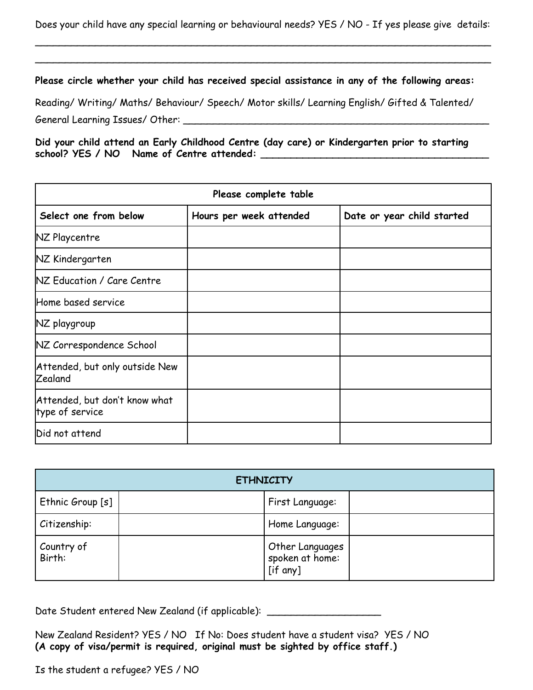Does your child have any special learning or behavioural needs? YES / NO - If yes please give details:

\_\_\_\_\_\_\_\_\_\_\_\_\_\_\_\_\_\_\_\_\_\_\_\_\_\_\_\_\_\_\_\_\_\_\_\_\_\_\_\_\_\_\_\_\_\_\_\_\_\_\_\_\_\_\_\_\_\_\_\_\_\_\_\_\_\_\_\_\_\_\_\_\_\_\_\_ \_\_\_\_\_\_\_\_\_\_\_\_\_\_\_\_\_\_\_\_\_\_\_\_\_\_\_\_\_\_\_\_\_\_\_\_\_\_\_\_\_\_\_\_\_\_\_\_\_\_\_\_\_\_\_\_\_\_\_\_\_\_\_\_\_\_\_\_\_\_\_\_\_\_\_\_

**Please circle whether your child has received special assistance in any of the following areas:**

Reading/ Writing/ Maths/ Behaviour/ Speech/ Motor skills/ Learning English/ Gifted & Talented/ General Learning Issues/ Other:

**Did your child attend an Early Childhood Centre (day care) or Kindergarten prior to starting school? YES / NO Name of Centre attended: \_\_\_\_\_\_\_\_\_\_\_\_\_\_\_\_\_\_\_\_\_\_\_\_\_\_\_\_\_\_\_\_\_\_\_\_\_\_**

| Please complete table                            |                         |                            |  |
|--------------------------------------------------|-------------------------|----------------------------|--|
| Select one from below                            | Hours per week attended | Date or year child started |  |
| NZ Playcentre                                    |                         |                            |  |
| NZ Kindergarten                                  |                         |                            |  |
| NZ Education / Care Centre                       |                         |                            |  |
| Home based service                               |                         |                            |  |
| NZ playgroup                                     |                         |                            |  |
| NZ Correspondence School                         |                         |                            |  |
| Attended, but only outside New<br><b>Zealand</b> |                         |                            |  |
| Attended, but don't know what<br>type of service |                         |                            |  |
| Did not attend                                   |                         |                            |  |

| <b>ETHNICITY</b>     |  |                                                |  |
|----------------------|--|------------------------------------------------|--|
| Ethnic Group [s]     |  | First Language:                                |  |
| Citizenship:         |  | Home Language:                                 |  |
| Country of<br>Birth: |  | Other Languages<br>spoken at home:<br>[if any] |  |

Date Student entered New Zealand (if applicable): \_\_\_\_\_\_\_\_\_\_\_\_\_\_\_\_\_\_\_\_\_\_\_\_\_\_\_\_\_\_

New Zealand Resident? YES / NO If No: Does student have a student visa? YES / NO **(A copy of visa/permit is required, original must be sighted by office staff.)**

Is the student a refugee? YES / NO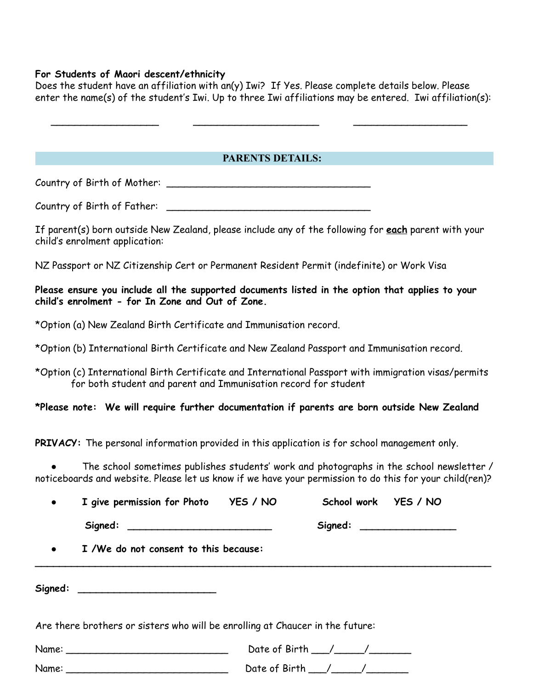### **For Students of Maori descent/ethnicity**

Does the student have an affiliation with an(y) Iwi? If Yes. Please complete details below. Please enter the name(s) of the student's Iwi. Up to three Iwi affiliations may be entered. Iwi affiliation(s):

 $\blacksquare$ 

## **PARENTS DETAILS:**

Country of Birth of Mother: \_\_\_\_\_\_\_\_\_\_\_\_\_\_\_\_\_\_\_\_\_\_\_\_\_\_\_\_\_\_\_\_\_\_

Country of Birth of Father: \_\_\_\_\_\_\_\_\_\_\_\_\_\_\_\_\_\_\_\_\_\_\_\_\_\_\_\_\_\_\_\_\_\_

If parent(s) born outside New Zealand, please include any of the following for **each** parent with your child's enrolment application:

NZ Passport or NZ Citizenship Cert or Permanent Resident Permit (indefinite) or Work Visa

**Please ensure you include all the supported documents listed in the option that applies to your child's enrolment - for In Zone and Out of Zone.**

\*Option (a) New Zealand Birth Certificate and Immunisation record.

\*Option (b) International Birth Certificate and New Zealand Passport and Immunisation record.

\*Option (c) International Birth Certificate and International Passport with immigration visas/permits for both student and parent and Immunisation record for student

**\*Please note: We will require further documentation if parents are born outside New Zealand**

**PRIVACY:** The personal information provided in this application is for school management only.

The school sometimes publishes students' work and photographs in the school newsletter / noticeboards and website. Please let us know if we have your permission to do this for your child(ren)?

| $\bullet$ | I give permission for Photo YES / NO                                          |  |                                                          | School work YES / NO       |
|-----------|-------------------------------------------------------------------------------|--|----------------------------------------------------------|----------------------------|
|           | Signed: _________________________________                                     |  |                                                          | Signed: __________________ |
|           | • I /We do not consent to this because:                                       |  |                                                          |                            |
|           | Signed: ____________________________                                          |  |                                                          |                            |
|           | Are there brothers or sisters who will be enrolling at Chaucer in the future: |  |                                                          |                            |
|           |                                                                               |  | Date of Birth $\_\_\_\_\_\_\_\_\_\_\_\_\_\_\_\_\_\_\_\_$ |                            |
|           |                                                                               |  |                                                          |                            |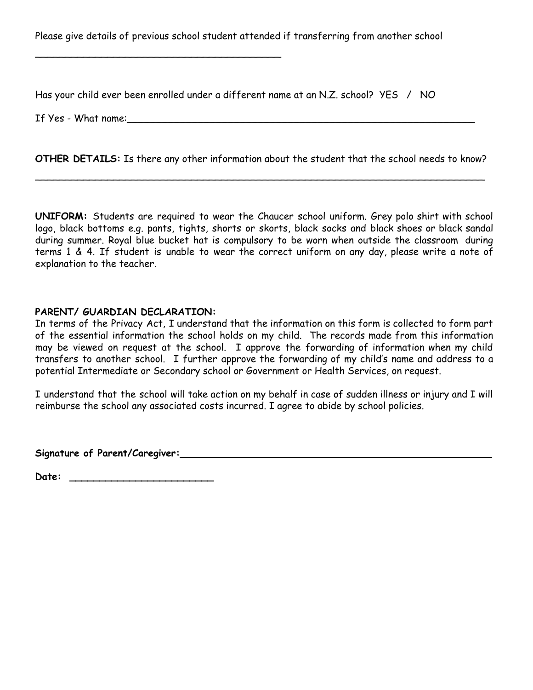Please give details of previous school student attended if transferring from another school

Has your child ever been enrolled under a different name at an N.Z. school? YES / NO

If Yes - What name:

**OTHER DETAILS:** Is there any other information about the student that the school needs to know?

\_\_\_\_\_\_\_\_\_\_\_\_\_\_\_\_\_\_\_\_\_\_\_\_\_\_\_\_\_\_\_\_\_\_\_\_\_\_\_\_\_\_\_\_\_\_\_\_\_\_\_\_\_\_\_\_\_\_\_\_\_\_\_\_\_\_\_\_\_\_\_\_\_\_\_

**UNIFORM:** Students are required to wear the Chaucer school uniform. Grey polo shirt with school logo, black bottoms e.g. pants, tights, shorts or skorts, black socks and black shoes or black sandal during summer. Royal blue bucket hat is compulsory to be worn when outside the classroom during terms 1 & 4. If student is unable to wear the correct uniform on any day, please write a note of explanation to the teacher.

### **PARENT/ GUARDIAN DECLARATION:**

\_\_\_\_\_\_\_\_\_\_\_\_\_\_\_\_\_\_\_\_\_\_\_\_\_\_\_\_\_\_\_\_\_\_\_\_\_\_\_\_\_

In terms of the Privacy Act, I understand that the information on this form is collected to form part of the essential information the school holds on my child. The records made from this information may be viewed on request at the school. I approve the forwarding of information when my child transfers to another school. I further approve the forwarding of my child's name and address to a potential Intermediate or Secondary school or Government or Health Services, on request.

I understand that the school will take action on my behalf in case of sudden illness or injury and I will reimburse the school any associated costs incurred. I agree to abide by school policies.

**Signature of Parent/Caregiver:\_\_\_\_\_\_\_\_\_\_\_\_\_\_\_\_\_\_\_\_\_\_\_\_\_\_\_\_\_\_\_\_\_\_\_\_\_\_\_\_\_\_\_\_\_\_\_\_\_\_\_\_**

**Date: \_\_\_\_\_\_\_\_\_\_\_\_\_\_\_\_\_\_\_\_\_\_\_\_**